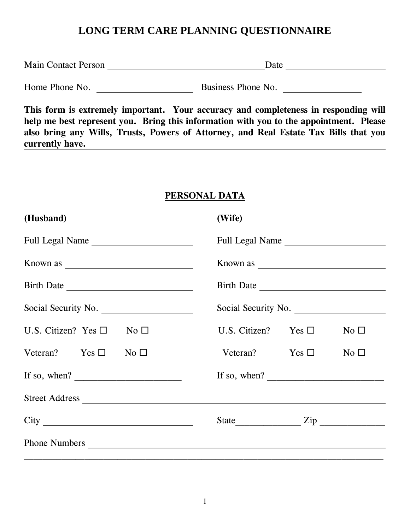## **LONG TERM CARE PLANNING QUESTIONNAIRE**

| <b>Main Contact Person</b> | Date |
|----------------------------|------|
|                            |      |

Home Phone No. Business Phone No.

**This form is extremely important. Your accuracy and completeness in responding will help me best represent you. Bring this information with you to the appointment. Please also bring any Wills, Trusts, Powers of Attorney, and Real Estate Tax Bills that you currently have.**

#### **PERSONAL DATA**

| (Husband)                                | (Wife)                                                                             |  |  |
|------------------------------------------|------------------------------------------------------------------------------------|--|--|
| Full Legal Name                          | Full Legal Name                                                                    |  |  |
|                                          |                                                                                    |  |  |
|                                          |                                                                                    |  |  |
| Social Security No.                      | Social Security No.                                                                |  |  |
| U.S. Citizen? Yes $\square$ No $\square$ | U.S. Citizen? Yes $\square$<br>No $\square$                                        |  |  |
| Veteran? Yes $\square$ No $\square$      | Veteran? Yes $\square$<br>$No \Box$                                                |  |  |
| If so, when? $\overline{\qquad \qquad }$ | If so, when? $\frac{1}{\sqrt{1-\frac{1}{2}} \cdot \frac{1}{\sqrt{1-\frac{1}{2}}}}$ |  |  |
|                                          |                                                                                    |  |  |
|                                          |                                                                                    |  |  |
|                                          |                                                                                    |  |  |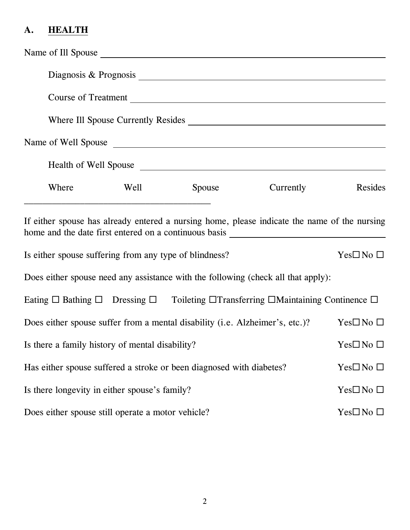# **A. HEALTH**

|                                                                                            |                                                                   | Diagnosis & Prognosis 2007 and 2008 and 2008 and 2008 and 2008 and 2008 and 2008 and 2008 and 2008 and 2008 and 2008 and 2008 and 2008 and 2008 and 2008 and 2008 and 2008 and 2008 and 2008 and 2008 and 2008 and 2008 and 20 |           |                           |
|--------------------------------------------------------------------------------------------|-------------------------------------------------------------------|--------------------------------------------------------------------------------------------------------------------------------------------------------------------------------------------------------------------------------|-----------|---------------------------|
|                                                                                            |                                                                   | Course of Treatment                                                                                                                                                                                                            |           |                           |
|                                                                                            |                                                                   |                                                                                                                                                                                                                                |           |                           |
|                                                                                            |                                                                   | Name of Well Spouse                                                                                                                                                                                                            |           |                           |
|                                                                                            |                                                                   | Health of Well Spouse                                                                                                                                                                                                          |           |                           |
| Where                                                                                      | <u> 1980 - Johann Barbara, margaret eta idazlearia (h. 1980).</u> | Well Spouse                                                                                                                                                                                                                    | Currently | Resides                   |
| Is either spouse suffering from any type of blindness?                                     |                                                                   | If either spouse has already entered a nursing home, please indicate the name of the nursing                                                                                                                                   |           | $Yes\square$ No $\square$ |
|                                                                                            |                                                                   | Does either spouse need any assistance with the following (check all that apply):                                                                                                                                              |           |                           |
|                                                                                            |                                                                   | Eating $\Box$ Bathing $\Box$ Dressing $\Box$ Toileting $\Box$ Transferring $\Box$ Maintaining Continence $\Box$                                                                                                                |           |                           |
|                                                                                            |                                                                   | Does either spouse suffer from a mental disability (i.e. Alzheimer's, etc.)?                                                                                                                                                   |           | $Yes\square$ No $\square$ |
| Is there a family history of mental disability?<br>$Yes\square$ No $\square$               |                                                                   |                                                                                                                                                                                                                                |           |                           |
| Has either spouse suffered a stroke or been diagnosed with diabetes?<br>$Yes \Box No \Box$ |                                                                   |                                                                                                                                                                                                                                |           |                           |
| Is there longevity in either spouse's family?                                              |                                                                   |                                                                                                                                                                                                                                |           | $Yes \Box No \Box$        |
| Does either spouse still operate a motor vehicle?                                          |                                                                   |                                                                                                                                                                                                                                |           | $Yes\square$ No $\square$ |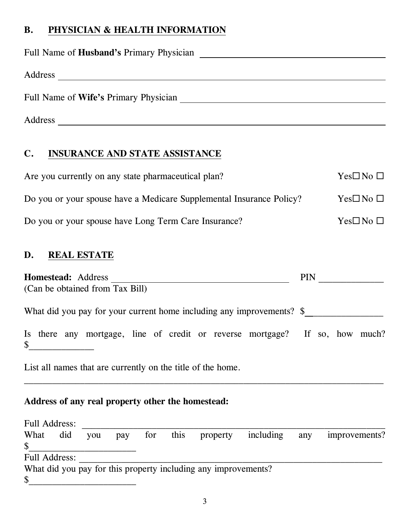## **B. PHYSICIAN & HEALTH INFORMATION**

| Full Name of <b>Husband's</b> Primary Physician |  |
|-------------------------------------------------|--|
| Address                                         |  |
| Full Name of Wife's Primary Physician           |  |
|                                                 |  |
| Address                                         |  |

#### **C. INSURANCE AND STATE ASSISTANCE**

| Are you currently on any state pharmaceutical plan?                  | $Yes\square$ No $\square$ |
|----------------------------------------------------------------------|---------------------------|
| Do you or your spouse have a Medicare Supplemental Insurance Policy? | $Yes\square$ No $\square$ |
| Do you or your spouse have Long Term Care Insurance?                 | $Yes\square$ No $\square$ |

## **D. REAL ESTATE**

| <b>Homestead:</b> Address<br>(Can be obtained from Tax Bill)                      |  |  |          |           |     | <b>PIN</b> |               |  |
|-----------------------------------------------------------------------------------|--|--|----------|-----------|-----|------------|---------------|--|
| What did you pay for your current home including any improvements? \$             |  |  |          |           |     |            |               |  |
| Is there any mortgage, line of credit or reverse mortgage? If so, how much?<br>\$ |  |  |          |           |     |            |               |  |
| List all names that are currently on the title of the home.                       |  |  |          |           |     |            |               |  |
| Address of any real property other the homestead:                                 |  |  |          |           |     |            |               |  |
| <b>Full Address:</b>                                                              |  |  |          |           |     |            |               |  |
| What did you pay for this<br>\$                                                   |  |  | property | including | any |            | improvements? |  |
| <b>Full Address:</b>                                                              |  |  |          |           |     |            |               |  |
| What did you pay for this property including any improvements?<br>\$              |  |  |          |           |     |            |               |  |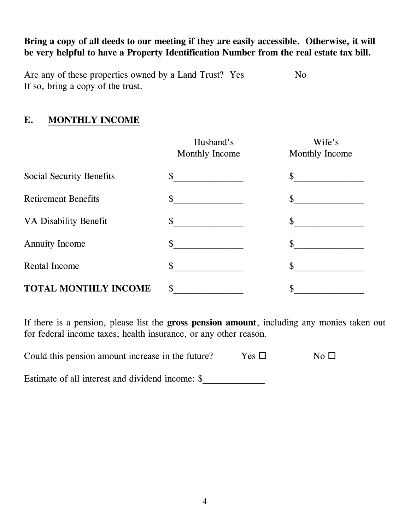**Bring a copy of all deeds to our meeting if they are easily accessible. Otherwise, it will be very helpful to have a Property Identification Number from the real estate tax bill.**

Are any of these properties owned by a Land Trust?Yes No If so, bring a copy of the trust.

#### **E. MONTHLY INCOME**

|                              | Husband's<br>Monthly Income | Wife's<br><b>Monthly Income</b> |
|------------------------------|-----------------------------|---------------------------------|
| Social Security Benefits     | $\mathcal{S}$               | \$                              |
| <b>Retirement Benefits</b>   | \$                          | \$                              |
| <b>VA Disability Benefit</b> | \$                          | \$                              |
| <b>Annuity Income</b>        | \$                          | \$                              |
| Rental Income                | \$                          | \$                              |
| <b>TOTAL MONTHLY INCOME</b>  | \$                          | \$                              |

If there is a pension, please list the **gross pension amount**, including any monies taken out for federal income taxes, health insurance, or any other reason.

| Could this pension amount increase in the future? |  |  | Yes $\square$ | No $\square$ |
|---------------------------------------------------|--|--|---------------|--------------|
|                                                   |  |  |               |              |

Estimate of all interest and dividend income: \$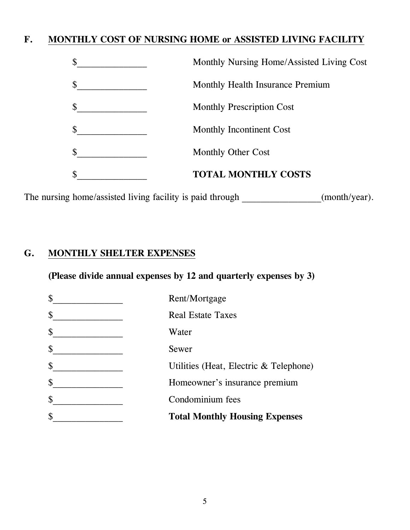## **F. MONTHLY COST OF NURSING HOME or ASSISTED LIVING FACILITY**

| \$                        | Monthly Nursing Home/Assisted Living Cost |
|---------------------------|-------------------------------------------|
| \$                        | Monthly Health Insurance Premium          |
| $\boldsymbol{\mathsf{S}}$ | <b>Monthly Prescription Cost</b>          |
| $\boldsymbol{\mathsf{S}}$ | Monthly Incontinent Cost                  |
| $\mathcal{S}$             | Monthly Other Cost                        |
| $\mathbb{S}$              | <b>TOTAL MONTHLY COSTS</b>                |

The nursing home/assisted living facility is paid through \_\_\_\_\_\_\_\_\_\_\_\_\_\_(month/year).

## **G. MONTHLY SHELTER EXPENSES**

**(Please divide annual expenses by 12 and quarterly expenses by 3)**

| \$<br>Rent/Mortgage                          |
|----------------------------------------------|
| \$<br><b>Real Estate Taxes</b>               |
| \$<br>Water                                  |
| \$<br>Sewer                                  |
| \$<br>Utilities (Heat, Electric & Telephone) |
| \$<br>Homeowner's insurance premium          |
| \$<br>Condominium fees                       |
| \$<br><b>Total Monthly Housing Expenses</b>  |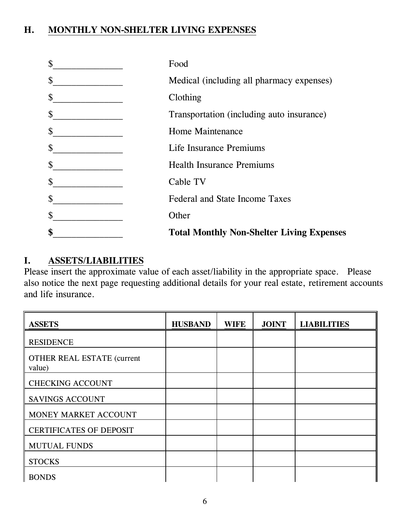## **H. MONTHLY NON-SHELTER LIVING EXPENSES**

| \$<br><b>Total Monthly Non-Shelter Living Expenses</b> |
|--------------------------------------------------------|
| \$<br>Other                                            |
| \$<br><b>Federal and State Income Taxes</b>            |
| \$<br>Cable TV                                         |
| \$<br><b>Health Insurance Premiums</b>                 |
| \$<br>Life Insurance Premiums                          |
| \$<br>Home Maintenance                                 |
| \$<br>Transportation (including auto insurance)        |
| \$<br>Clothing                                         |
| \$<br>Medical (including all pharmacy expenses)        |
| \$<br>Food                                             |

#### **I. ASSETS/LIABILITIES**

Please insert the approximate value of each asset/liability in the appropriate space. Please also notice the next page requesting additional details for your real estate, retirement accounts and life insurance.

| <b>ASSETS</b>                               | <b>HUSBAND</b> | <b>WIFE</b> | <b>JOINT</b> | <b>LIABILITIES</b> |
|---------------------------------------------|----------------|-------------|--------------|--------------------|
| <b>RESIDENCE</b>                            |                |             |              |                    |
| <b>OTHER REAL ESTATE (current</b><br>value) |                |             |              |                    |
| <b>CHECKING ACCOUNT</b>                     |                |             |              |                    |
| <b>SAVINGS ACCOUNT</b>                      |                |             |              |                    |
| MONEY MARKET ACCOUNT                        |                |             |              |                    |
| <b>CERTIFICATES OF DEPOSIT</b>              |                |             |              |                    |
| <b>MUTUAL FUNDS</b>                         |                |             |              |                    |
| <b>STOCKS</b>                               |                |             |              |                    |
| <b>BONDS</b>                                |                |             |              |                    |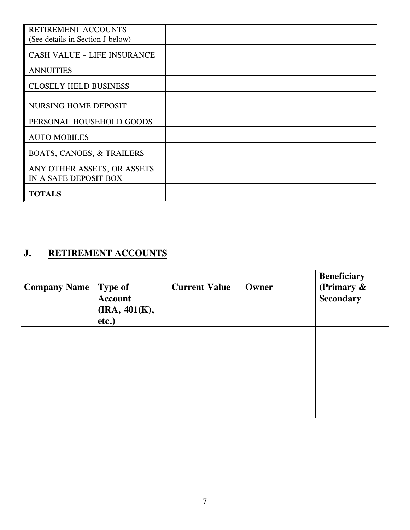| RETIREMENT ACCOUNTS                                  |  |  |
|------------------------------------------------------|--|--|
| (See details in Section J below)                     |  |  |
| <b>CASH VALUE - LIFE INSURANCE</b>                   |  |  |
| <b>ANNUITIES</b>                                     |  |  |
| <b>CLOSELY HELD BUSINESS</b>                         |  |  |
| <b>NURSING HOME DEPOSIT</b>                          |  |  |
| PERSONAL HOUSEHOLD GOODS                             |  |  |
| <b>AUTO MOBILES</b>                                  |  |  |
| <b>BOATS, CANOES, &amp; TRAILERS</b>                 |  |  |
| ANY OTHER ASSETS, OR ASSETS<br>IN A SAFE DEPOSIT BOX |  |  |
| <b>TOTALS</b>                                        |  |  |

# **J. RETIREMENT ACCOUNTS**

| <b>Company Name   Type of</b> | <b>Account</b><br>$\rm (IRA, 401(K),$<br>etc.) | <b>Current Value</b> | Owner | <b>Beneficiary</b><br>(Primary &<br><b>Secondary</b> |
|-------------------------------|------------------------------------------------|----------------------|-------|------------------------------------------------------|
|                               |                                                |                      |       |                                                      |
|                               |                                                |                      |       |                                                      |
|                               |                                                |                      |       |                                                      |
|                               |                                                |                      |       |                                                      |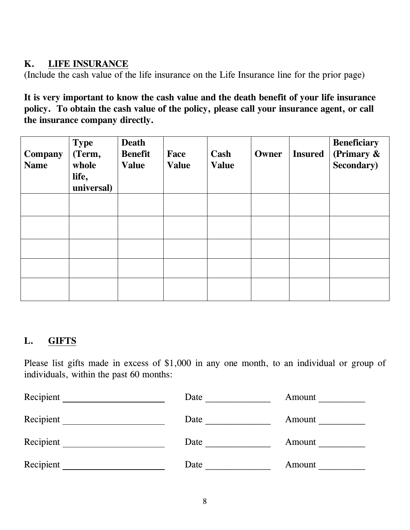## **K. LIFE INSURANCE**

(Include the cash value of the life insurance on the Life Insurance line for the prior page)

**It is very important to know the cash value and the death benefit of your life insurance policy. To obtain the cash value of the policy, please call your insurance agent, or call the insurance company directly.**

| <b>Company</b><br><b>Name</b> | <b>Type</b><br>(Term,<br>whole<br>life,<br>universal) | <b>Death</b><br><b>Benefit</b><br><b>Value</b> | Face<br><b>Value</b> | Cash<br><b>Value</b> | Owner | <b>Insured</b> | <b>Beneficiary</b><br>(Primary $\&$<br><b>Secondary</b> ) |
|-------------------------------|-------------------------------------------------------|------------------------------------------------|----------------------|----------------------|-------|----------------|-----------------------------------------------------------|
|                               |                                                       |                                                |                      |                      |       |                |                                                           |
|                               |                                                       |                                                |                      |                      |       |                |                                                           |
|                               |                                                       |                                                |                      |                      |       |                |                                                           |
|                               |                                                       |                                                |                      |                      |       |                |                                                           |
|                               |                                                       |                                                |                      |                      |       |                |                                                           |

## **L. GIFTS**

Please list gifts made in excess of \$1,000 in any one month, to an individual or group of individuals, within the past 60 months:

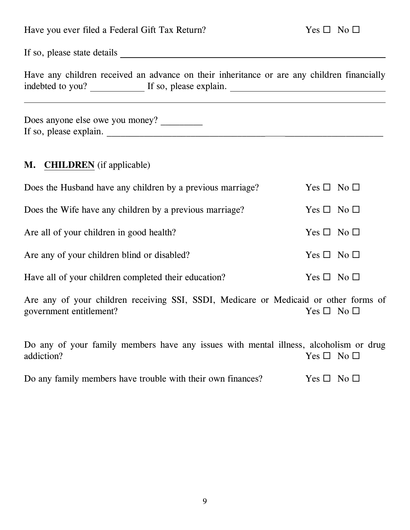| Have you ever filed a Federal Gift Tax Return?                                                                                        | $Yes \Box No \Box$   |
|---------------------------------------------------------------------------------------------------------------------------------------|----------------------|
|                                                                                                                                       |                      |
| Have any children received an advance on their inheritance or are any children financially<br>indebted to you? If so, please explain. |                      |
| Does anyone else owe you money?<br>If so, please explain.                                                                             |                      |
| <b>M.</b> CHILDREN (if applicable)                                                                                                    |                      |
| Does the Husband have any children by a previous marriage?                                                                            | Yes $\Box$ No $\Box$ |
| Does the Wife have any children by a previous marriage?                                                                               | $Yes \Box No \Box$   |
| Are all of your children in good health?                                                                                              | Yes $\Box$ No $\Box$ |
| Are any of your children blind or disabled?                                                                                           | Yes $\Box$ No $\Box$ |

| Have all of your children completed their education? | Yes $\Box$ No $\Box$ |
|------------------------------------------------------|----------------------|
|------------------------------------------------------|----------------------|

Are any of your children receiving SSI, SSDI, Medicare or Medicaid or other forms of government entitlement?  $Yes \Box No \Box$ 

Do any of your family members have any issues with mental illness, alcoholism or drug addiction? Yes  $\Box$  No  $\Box$ 

| Yes $\Box$ No $\Box$<br>Do any family members have trouble with their own finances? |
|-------------------------------------------------------------------------------------|
|-------------------------------------------------------------------------------------|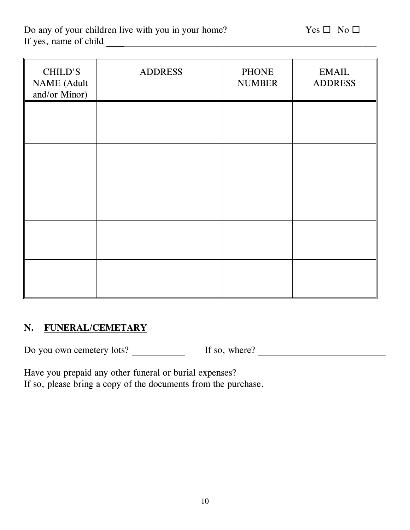| CHILD'S<br><b>NAME</b> (Adult<br>and/or Minor) | <b>ADDRESS</b> | <b>PHONE</b><br><b>NUMBER</b> | <b>EMAIL</b><br><b>ADDRESS</b> |
|------------------------------------------------|----------------|-------------------------------|--------------------------------|
|                                                |                |                               |                                |
|                                                |                |                               |                                |
|                                                |                |                               |                                |
|                                                |                |                               |                                |
|                                                |                |                               |                                |

#### **N. FUNERAL/CEMETARY**

Do you own cemetery lots? If so, where?

Have you prepaid any other funeral or burial expenses? \_\_\_\_\_\_\_\_\_\_\_\_\_\_\_\_\_\_\_\_\_\_\_\_\_ If so, please bring a copy of the documents from the purchase.